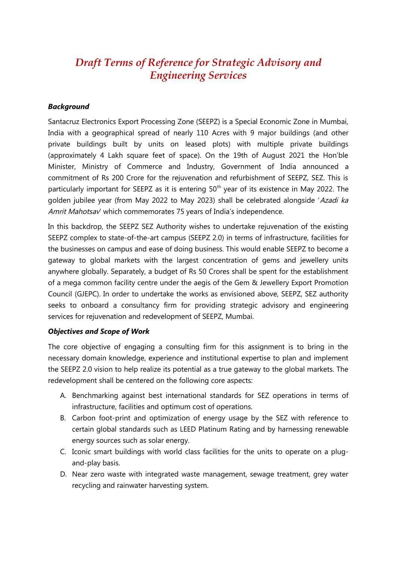# *Draft Terms of Reference for Strategic Advisory and Engineering Services*

#### *Background*

Santacruz Electronics Export Processing Zone (SEEPZ) is a Special Economic Zone in Mumbai, India with a geographical spread of nearly 110 Acres with 9 major buildings (and other private buildings built by units on leased plots) with multiple private buildings (approximately 4 Lakh square feet of space). On the 19th of August 2021 the Hon'ble Minister, Ministry of Commerce and Industry, Government of India announced a commitment of Rs 200 Crore for the rejuvenation and refurbishment of SEEPZ, SEZ. This is particularly important for SEEPZ as it is entering  $50<sup>th</sup>$  year of its existence in May 2022. The golden jubilee year (from May 2022 to May 2023) shall be celebrated alongside 'Azadi ka Amrit Mahotsav' which commemorates 75 years of India's independence.

In this backdrop, the SEEPZ SEZ Authority wishes to undertake rejuvenation of the existing SEEPZ complex to state-of-the-art campus (SEEPZ 2.0) in terms of infrastructure, facilities for the businesses on campus and ease of doing business. This would enable SEEPZ to become a gateway to global markets with the largest concentration of gems and jewellery units anywhere globally. Separately, a budget of Rs 50 Crores shall be spent for the establishment of a mega common facility centre under the aegis of the Gem & Jewellery Export Promotion Council (GJEPC). In order to undertake the works as envisioned above, SEEPZ, SEZ authority seeks to onboard a consultancy firm for providing strategic advisory and engineering services for rejuvenation and redevelopment of SEEPZ, Mumbai.

#### *Objectives and Scope of Work*

The core objective of engaging a consulting firm for this assignment is to bring in the necessary domain knowledge, experience and institutional expertise to plan and implement the SEEPZ 2.0 vision to help realize its potential as a true gateway to the global markets. The redevelopment shall be centered on the following core aspects:

- A. Benchmarking against best international standards for SEZ operations in terms of infrastructure, facilities and optimum cost of operations.
- B. Carbon foot-print and optimization of energy usage by the SEZ with reference to certain global standards such as LEED Platinum Rating and by harnessing renewable energy sources such as solar energy.
- C. Iconic smart buildings with world class facilities for the units to operate on a plugand-play basis.
- D. Near zero waste with integrated waste management, sewage treatment, grey water recycling and rainwater harvesting system.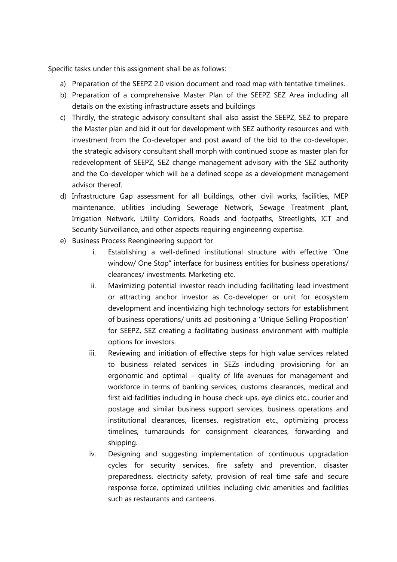Specific tasks under this assignment shall be as follows:

- a) Preparation of the SEEPZ 2.0 vision document and road map with tentative timelines.
- b) Preparation of a comprehensive Master Plan of the SEEPZ SEZ Area including all details on the existing infrastructure assets and buildings
- c) Thirdly, the strategic advisory consultant shall also assist the SEEPZ, SEZ to prepare the Master plan and bid it out for development with SEZ authority resources and with investment from the Co-developer and post award of the bid to the co-developer, the strategic advisory consultant shall morph with continued scope as master plan for redevelopment of SEEPZ, SEZ change management advisory with the SEZ authority and the Co-developer which will be a defined scope as a development management advisor thereof.
- d) Infrastructure Gap assessment for all buildings, other civil works, facilities, MEP maintenance, utilities including Sewerage Network, Sewage Treatment plant, Irrigation Network, Utility Corridors, Roads and footpaths, Streetlights, ICT and Security Surveillance, and other aspects requiring engineering expertise.
- e) Business Process Reengineering support for
	- i. Establishing a well-defined institutional structure with effective "One window/ One Stop" interface for business entities for business operations/ clearances/ investments. Marketing etc.
	- ii. Maximizing potential investor reach including facilitating lead investment or attracting anchor investor as Co-developer or unit for ecosystem development and incentivizing high technology sectors for establishment of business operations/ units ad positioning a 'Unique Selling Proposition' for SEEPZ, SEZ creating a facilitating business environment with multiple options for investors.
	- iii. Reviewing and initiation of effective steps for high value services related to business related services in SEZs including provisioning for an ergonomic and optimal – quality of life avenues for management and workforce in terms of banking services, customs clearances, medical and first aid facilities including in house check-ups, eye clinics etc., courier and postage and similar business support services, business operations and institutional clearances, licenses, registration etc., optimizing process timelines, turnarounds for consignment clearances, forwarding and shipping.
	- iv. Designing and suggesting implementation of continuous upgradation cycles for security services, fire safety and prevention, disaster preparedness, electricity safety, provision of real time safe and secure response force, optimized utilities including civic amenities and facilities such as restaurants and canteens.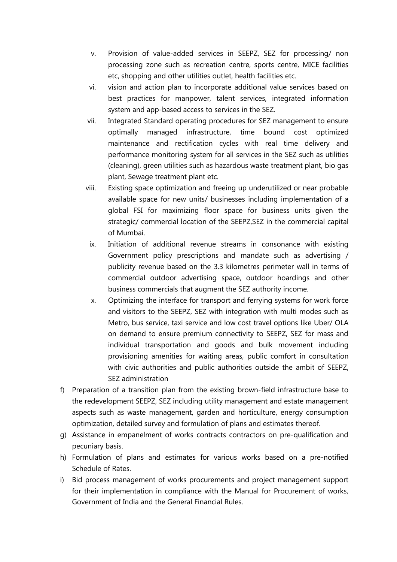- v. Provision of value-added services in SEEPZ, SEZ for processing/ non processing zone such as recreation centre, sports centre, MICE facilities etc, shopping and other utilities outlet, health facilities etc.
- vi. vision and action plan to incorporate additional value services based on best practices for manpower, talent services, integrated information system and app-based access to services in the SEZ.
- vii. Integrated Standard operating procedures for SEZ management to ensure optimally managed infrastructure, time bound cost optimized maintenance and rectification cycles with real time delivery and performance monitoring system for all services in the SEZ such as utilities (cleaning), green utilities such as hazardous waste treatment plant, bio gas plant, Sewage treatment plant etc.
- viii. Existing space optimization and freeing up underutilized or near probable available space for new units/ businesses including implementation of a global FSI for maximizing floor space for business units given the strategic/ commercial location of the SEEPZ,SEZ in the commercial capital of Mumbai.
- ix. Initiation of additional revenue streams in consonance with existing Government policy prescriptions and mandate such as advertising / publicity revenue based on the 3.3 kilometres perimeter wall in terms of commercial outdoor advertising space, outdoor hoardings and other business commercials that augment the SEZ authority income.
- x. Optimizing the interface for transport and ferrying systems for work force and visitors to the SEEPZ, SEZ with integration with multi modes such as Metro, bus service, taxi service and low cost travel options like Uber/ OLA on demand to ensure premium connectivity to SEEPZ, SEZ for mass and individual transportation and goods and bulk movement including provisioning amenities for waiting areas, public comfort in consultation with civic authorities and public authorities outside the ambit of SEEPZ, SEZ administration
- f) Preparation of a transition plan from the existing brown-field infrastructure base to the redevelopment SEEPZ, SEZ including utility management and estate management aspects such as waste management, garden and horticulture, energy consumption optimization, detailed survey and formulation of plans and estimates thereof.
- g) Assistance in empanelment of works contracts contractors on pre-qualification and pecuniary basis.
- h) Formulation of plans and estimates for various works based on a pre-notified Schedule of Rates.
- i) Bid process management of works procurements and project management support for their implementation in compliance with the Manual for Procurement of works, Government of India and the General Financial Rules.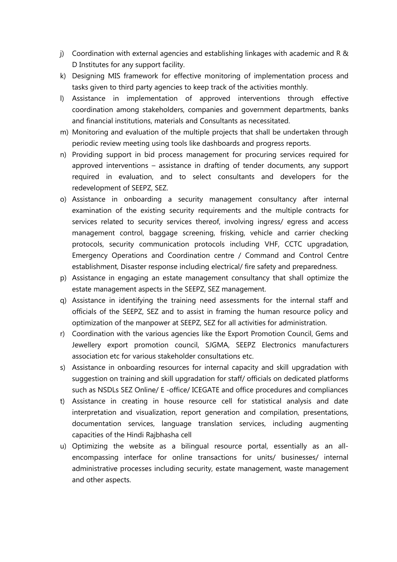- j) Coordination with external agencies and establishing linkages with academic and R & D Institutes for any support facility.
- k) Designing MIS framework for effective monitoring of implementation process and tasks given to third party agencies to keep track of the activities monthly.
- l) Assistance in implementation of approved interventions through effective coordination among stakeholders, companies and government departments, banks and financial institutions, materials and Consultants as necessitated.
- m) Monitoring and evaluation of the multiple projects that shall be undertaken through periodic review meeting using tools like dashboards and progress reports.
- n) Providing support in bid process management for procuring services required for approved interventions – assistance in drafting of tender documents, any support required in evaluation, and to select consultants and developers for the redevelopment of SEEPZ, SEZ.
- o) Assistance in onboarding a security management consultancy after internal examination of the existing security requirements and the multiple contracts for services related to security services thereof, involving ingress/ egress and access management control, baggage screening, frisking, vehicle and carrier checking protocols, security communication protocols including VHF, CCTC upgradation, Emergency Operations and Coordination centre / Command and Control Centre establishment, Disaster response including electrical/ fire safety and preparedness.
- p) Assistance in engaging an estate management consultancy that shall optimize the estate management aspects in the SEEPZ, SEZ management.
- q) Assistance in identifying the training need assessments for the internal staff and officials of the SEEPZ, SEZ and to assist in framing the human resource policy and optimization of the manpower at SEEPZ, SEZ for all activities for administration.
- r) Coordination with the various agencies like the Export Promotion Council, Gems and Jewellery export promotion council, SJGMA, SEEPZ Electronics manufacturers association etc for various stakeholder consultations etc.
- s) Assistance in onboarding resources for internal capacity and skill upgradation with suggestion on training and skill upgradation for staff/ officials on dedicated platforms such as NSDLs SEZ Online/ E -office/ ICEGATE and office procedures and compliances
- t) Assistance in creating in house resource cell for statistical analysis and date interpretation and visualization, report generation and compilation, presentations, documentation services, language translation services, including augmenting capacities of the Hindi Rajbhasha cell
- u) Optimizing the website as a bilingual resource portal, essentially as an allencompassing interface for online transactions for units/ businesses/ internal administrative processes including security, estate management, waste management and other aspects.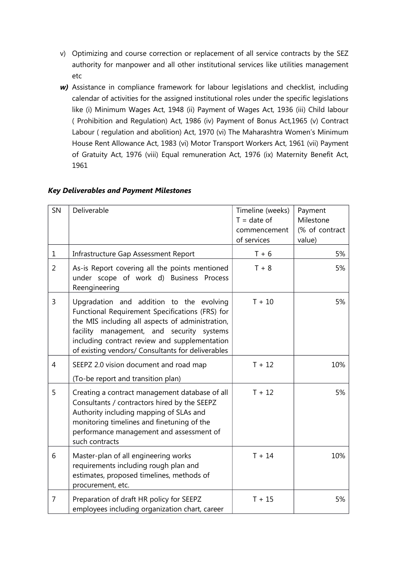- v) Optimizing and course correction or replacement of all service contracts by the SEZ authority for manpower and all other institutional services like utilities management etc
- *w)* Assistance in compliance framework for labour legislations and checklist, including calendar of activities for the assigned institutional roles under the specific legislations like (i) Minimum Wages Act, 1948 (ii) Payment of Wages Act, 1936 (iii) Child labour ( Prohibition and Regulation) Act, 1986 (iv) Payment of Bonus Act,1965 (v) Contract Labour ( regulation and abolition) Act, 1970 (vi) The Maharashtra Women's Minimum House Rent Allowance Act, 1983 (vi) Motor Transport Workers Act, 1961 (vii) Payment of Gratuity Act, 1976 (viii) Equal remuneration Act, 1976 (ix) Maternity Benefit Act, 1961

| SN             | Deliverable                                                                                                                                                                                                                                                                                        | Timeline (weeks)<br>$T = date of$<br>commencement<br>of services | Payment<br>Milestone<br>(% of contract<br>value) |
|----------------|----------------------------------------------------------------------------------------------------------------------------------------------------------------------------------------------------------------------------------------------------------------------------------------------------|------------------------------------------------------------------|--------------------------------------------------|
| $\mathbf 1$    | Infrastructure Gap Assessment Report                                                                                                                                                                                                                                                               | $T + 6$                                                          | 5%                                               |
| $\overline{2}$ | As-is Report covering all the points mentioned<br>under scope of work d) Business Process<br>Reengineering                                                                                                                                                                                         | $T + 8$                                                          | 5%                                               |
| 3              | Upgradation and addition to the evolving<br>Functional Requirement Specifications (FRS) for<br>the MIS including all aspects of administration,<br>facility management, and security systems<br>including contract review and supplementation<br>of existing vendors/ Consultants for deliverables | $T + 10$                                                         | 5%                                               |
| $\overline{4}$ | SEEPZ 2.0 vision document and road map<br>(To-be report and transition plan)                                                                                                                                                                                                                       | $T + 12$                                                         | 10%                                              |
| 5              | Creating a contract management database of all<br>Consultants / contractors hired by the SEEPZ<br>Authority including mapping of SLAs and<br>monitoring timelines and finetuning of the<br>performance management and assessment of<br>such contracts                                              | $T + 12$                                                         | 5%                                               |
| 6              | Master-plan of all engineering works<br>requirements including rough plan and<br>estimates, proposed timelines, methods of<br>procurement, etc.                                                                                                                                                    | $T + 14$                                                         | 10%                                              |
| $\overline{7}$ | Preparation of draft HR policy for SEEPZ<br>employees including organization chart, career                                                                                                                                                                                                         | $T + 15$                                                         | 5%                                               |

#### *Key Deliverables and Payment Milestones*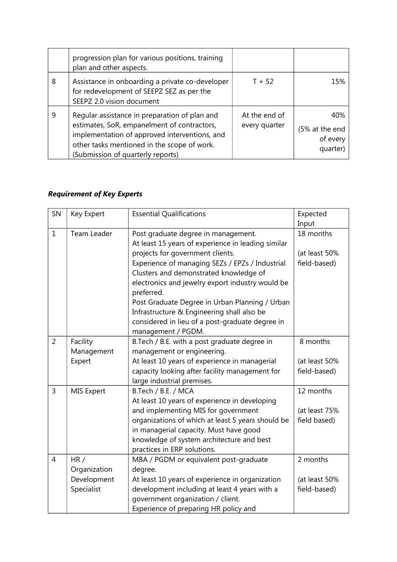|   | progression plan for various positions, training<br>plan and other aspects.                                                                                                                                                       |                                |                                               |
|---|-----------------------------------------------------------------------------------------------------------------------------------------------------------------------------------------------------------------------------------|--------------------------------|-----------------------------------------------|
| 8 | Assistance in onboarding a private co-developer<br>for redevelopment of SEEPZ SEZ as per the<br>SEEPZ 2.0 vision document                                                                                                         | $T + 52$                       | 15%                                           |
| 9 | Regular assistance in preparation of plan and<br>estimates, SoR, empanelment of contractors,<br>implementation of approved interventions, and<br>other tasks mentioned in the scope of work.<br>(Submission of quarterly reports) | At the end of<br>every quarter | 40%<br>(5% at the end<br>of every<br>quarter) |

## *Requirement of Key Experts*

| SN             | Key Expert   | <b>Essential Qualifications</b>                                                           | Expected      |
|----------------|--------------|-------------------------------------------------------------------------------------------|---------------|
|                |              |                                                                                           | Input         |
| $\mathbf{1}$   | Team Leader  | Post graduate degree in management.<br>At least 15 years of experience in leading similar | 18 months     |
|                |              | projects for government clients.                                                          | (at least 50% |
|                |              | Experience of managing SEZs / EPZs / Industrial                                           | field-based)  |
|                |              | Clusters and demonstrated knowledge of                                                    |               |
|                |              | electronics and jewelry export industry would be<br>preferred.                            |               |
|                |              | Post Graduate Degree in Urban Planning / Urban                                            |               |
|                |              | Infrastructure & Engineering shall also be                                                |               |
|                |              | considered in lieu of a post-graduate degree in<br>management / PGDM.                     |               |
| $\overline{2}$ | Facility     | B.Tech / B.E. with a post graduate degree in                                              | 8 months      |
|                | Management   | management or engineering.                                                                |               |
|                | Expert       | At least 10 years of experience in managerial                                             | (at least 50% |
|                |              | capacity looking after facility management for                                            | field-based)  |
|                |              | large industrial premises.                                                                |               |
| $\overline{3}$ | MIS Expert   | B.Tech / B.E. / MCA                                                                       | 12 months     |
|                |              | At least 10 years of experience in developing                                             |               |
|                |              | and implementing MIS for government                                                       | (at least 75% |
|                |              | organizations of which at least 5 years should be                                         | field based)  |
|                |              | in managerial capacity. Must have good                                                    |               |
|                |              | knowledge of system architecture and best                                                 |               |
|                |              | practices in ERP solutions.                                                               |               |
| $\overline{4}$ | HR/          | MBA / PGDM or equivalent post-graduate                                                    | 2 months      |
|                | Organization | degree.                                                                                   |               |
|                | Development  | At least 10 years of experience in organization                                           | (at least 50% |
|                | Specialist   | development including at least 4 years with a                                             | field-based)  |
|                |              | government organization / client.                                                         |               |
|                |              | Experience of preparing HR policy and                                                     |               |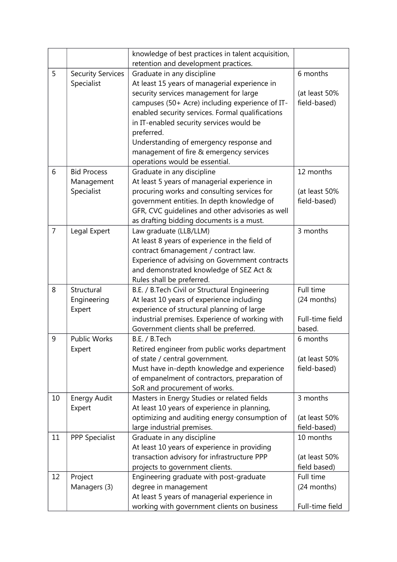|                |                          | knowledge of best practices in talent acquisition, |                 |
|----------------|--------------------------|----------------------------------------------------|-----------------|
|                |                          | retention and development practices.               |                 |
| 5              | <b>Security Services</b> | Graduate in any discipline                         | 6 months        |
|                | Specialist               | At least 15 years of managerial experience in      |                 |
|                |                          | security services management for large             | (at least 50%   |
|                |                          | campuses (50+ Acre) including experience of IT-    | field-based)    |
|                |                          | enabled security services. Formal qualifications   |                 |
|                |                          | in IT-enabled security services would be           |                 |
|                |                          | preferred.                                         |                 |
|                |                          | Understanding of emergency response and            |                 |
|                |                          | management of fire & emergency services            |                 |
|                |                          | operations would be essential.                     |                 |
| 6              | <b>Bid Process</b>       | Graduate in any discipline                         | 12 months       |
|                | Management               | At least 5 years of managerial experience in       |                 |
|                | Specialist               | procuring works and consulting services for        | (at least 50%   |
|                |                          | government entities. In depth knowledge of         | field-based)    |
|                |                          | GFR, CVC guidelines and other advisories as well   |                 |
|                |                          | as drafting bidding documents is a must.           |                 |
| $\overline{7}$ | Legal Expert             | Law graduate (LLB/LLM)                             | 3 months        |
|                |                          | At least 8 years of experience in the field of     |                 |
|                |                          | contract 6management / contract law.               |                 |
|                |                          | Experience of advising on Government contracts     |                 |
|                |                          | and demonstrated knowledge of SEZ Act &            |                 |
|                |                          | Rules shall be preferred.                          |                 |
| 8              | Structural               | B.E. / B.Tech Civil or Structural Engineering      | Full time       |
|                | Engineering              | At least 10 years of experience including          | (24 months)     |
|                | Expert                   | experience of structural planning of large         |                 |
|                |                          | industrial premises. Experience of working with    | Full-time field |
|                |                          | Government clients shall be preferred.             | based.          |
| 9              | <b>Public Works</b>      | B.E. / B.Tech                                      | 6 months        |
|                | Expert                   | Retired engineer from public works department      |                 |
|                |                          | of state / central government.                     | (at least 50%   |
|                |                          | Must have in-depth knowledge and experience        | field-based)    |
|                |                          | of empanelment of contractors, preparation of      |                 |
|                |                          | SoR and procurement of works.                      |                 |
| 10             | <b>Energy Audit</b>      | Masters in Energy Studies or related fields        | 3 months        |
|                | Expert                   | At least 10 years of experience in planning,       |                 |
|                |                          | optimizing and auditing energy consumption of      | (at least 50%   |
|                |                          | large industrial premises.                         | field-based)    |
| 11             | <b>PPP Specialist</b>    | Graduate in any discipline                         | 10 months       |
|                |                          | At least 10 years of experience in providing       |                 |
|                |                          | transaction advisory for infrastructure PPP        | (at least 50%   |
|                |                          | projects to government clients.                    | field based)    |
| 12             | Project                  | Engineering graduate with post-graduate            | Full time       |
|                | Managers (3)             | degree in management                               | (24 months)     |
|                |                          | At least 5 years of managerial experience in       |                 |
|                |                          | working with government clients on business        | Full-time field |